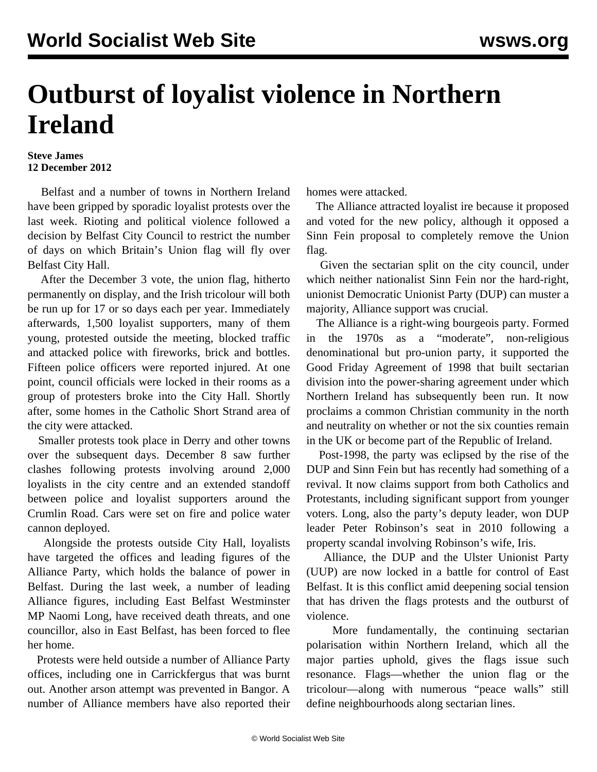## **Outburst of loyalist violence in Northern Ireland**

## **Steve James 12 December 2012**

 Belfast and a number of towns in Northern Ireland have been gripped by sporadic loyalist protests over the last week. Rioting and political violence followed a decision by Belfast City Council to restrict the number of days on which Britain's Union flag will fly over Belfast City Hall.

 After the December 3 vote, the union flag, hitherto permanently on display, and the Irish tricolour will both be run up for 17 or so days each per year. Immediately afterwards, 1,500 loyalist supporters, many of them young, protested outside the meeting, blocked traffic and attacked police with fireworks, brick and bottles. Fifteen police officers were reported injured. At one point, council officials were locked in their rooms as a group of protesters broke into the City Hall. Shortly after, some homes in the Catholic Short Strand area of the city were attacked.

 Smaller protests took place in Derry and other towns over the subsequent days. December 8 saw further clashes following protests involving around 2,000 loyalists in the city centre and an extended standoff between police and loyalist supporters around the Crumlin Road. Cars were set on fire and police water cannon deployed.

 Alongside the protests outside City Hall, loyalists have targeted the offices and leading figures of the Alliance Party, which holds the balance of power in Belfast. During the last week, a number of leading Alliance figures, including East Belfast Westminster MP Naomi Long, have received death threats, and one councillor, also in East Belfast, has been forced to flee her home.

 Protests were held outside a number of Alliance Party offices, including one in Carrickfergus that was burnt out. Another arson attempt was prevented in Bangor. A number of Alliance members have also reported their homes were attacked.

 The Alliance attracted loyalist ire because it proposed and voted for the new policy, although it opposed a Sinn Fein proposal to completely remove the Union flag.

 Given the sectarian split on the city council, under which neither nationalist Sinn Fein nor the hard-right, unionist Democratic Unionist Party (DUP) can muster a majority, Alliance support was crucial.

 The Alliance is a right-wing bourgeois party. Formed in the 1970s as a "moderate", non-religious denominational but pro-union party, it supported the Good Friday Agreement of 1998 that built sectarian division into the power-sharing agreement under which Northern Ireland has subsequently been run. It now proclaims a common Christian community in the north and neutrality on whether or not the six counties remain in the UK or become part of the Republic of Ireland.

 Post-1998, the party was eclipsed by the rise of the DUP and Sinn Fein but has recently had something of a revival. It now claims support from both Catholics and Protestants, including significant support from younger voters. Long, also the party's deputy leader, won DUP leader Peter Robinson's seat in 2010 following a property scandal involving Robinson's wife, Iris.

 Alliance, the DUP and the Ulster Unionist Party (UUP) are now locked in a battle for control of East Belfast. It is this conflict amid deepening social tension that has driven the flags protests and the outburst of violence.

 More fundamentally, the continuing sectarian polarisation within Northern Ireland, which all the major parties uphold, gives the flags issue such resonance. Flags—whether the union flag or the tricolour—along with numerous "peace walls" still define neighbourhoods along sectarian lines.